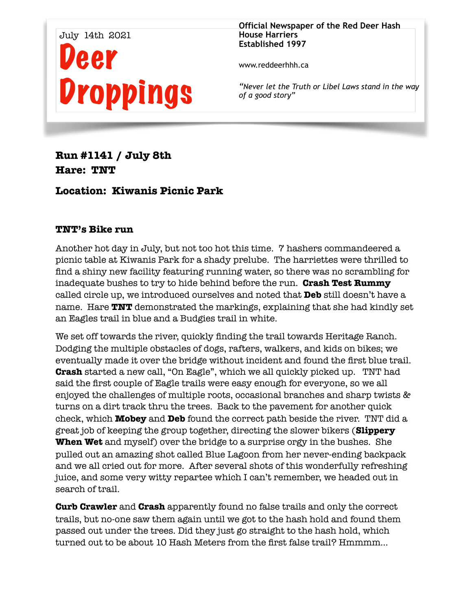

**Official Newspaper of the Red Deer Hash House Harriers Established 1997** 

www.reddeerhhh.ca

*"Never let the Truth or Libel Laws stand in the way of a good story"*

**Run #1141 / July 8th Hare: TNT** 

**Location: Kiwanis Picnic Park** 

## **TNT's Bike run**

Another hot day in July, but not too hot this time. 7 hashers commandeered a picnic table at Kiwanis Park for a shady prelube. The harriettes were thrilled to find a shiny new facility featuring running water, so there was no scrambling for inadequate bushes to try to hide behind before the run. **Crash Test Rummy**  called circle up, we introduced ourselves and noted that **Deb** still doesn't have a name. Hare **TNT** demonstrated the markings, explaining that she had kindly set an Eagles trail in blue and a Budgies trail in white.

We set off towards the river, quickly finding the trail towards Heritage Ranch. Dodging the multiple obstacles of dogs, rafters, walkers, and kids on bikes; we eventually made it over the bridge without incident and found the first blue trail. **Crash** started a new call, "On Eagle", which we all quickly picked up. TNT had said the first couple of Eagle trails were easy enough for everyone, so we all enjoyed the challenges of multiple roots, occasional branches and sharp twists & turns on a dirt track thru the trees. Back to the pavement for another quick check, which **Mobey** and **Deb** found the correct path beside the river. TNT did a great job of keeping the group together, directing the slower bikers (**Slippery When Wet** and myself) over the bridge to a surprise orgy in the bushes. She pulled out an amazing shot called Blue Lagoon from her never-ending backpack and we all cried out for more. After several shots of this wonderfully refreshing juice, and some very witty repartee which I can't remember, we headed out in search of trail.

**Curb Crawler** and **Crash** apparently found no false trails and only the correct trails, but no-one saw them again until we got to the hash hold and found them passed out under the trees. Did they just go straight to the hash hold, which turned out to be about 10 Hash Meters from the first false trail? Hmmmm…